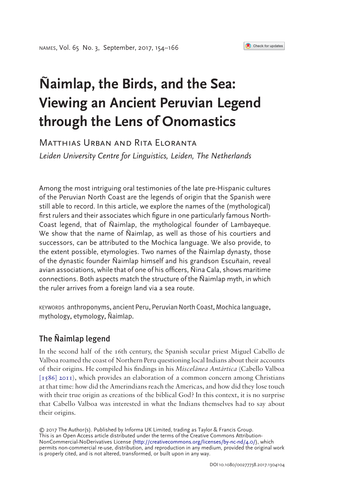#### Check for updates

# **Ñaimlap, the Birds, and the Sea: Viewing an Ancient Peruvian Legend through the Lens of Onomastics**

# Matthias Urban and Rita Eloranta *Leiden University Centre for Linguistics, Leiden, The Netherlands*

Among the most intriguing oral testimonies of the late pre-Hispanic cultures of the Peruvian North Coast are the legends of origin that the Spanish were still able to record. In this article, we explore the names of the (mythological) first rulers and their associates which figure in one particularly famous North-Coast legend, that of Ñaimlap, the mythological founder of Lambayeque. We show that the name of Ñaimlap, as well as those of his courtiers and successors, can be attributed to the Mochica language. We also provide, to the extent possible, etymologies. Two names of the Ñaimlap dynasty, those of the dynastic founder Ñaimlap himself and his grandson Escuñain, reveal avian associations, while that of one of his officers, Ñina Cala, shows maritime connections. Both aspects match the structure of the Ñaimlap myth, in which the ruler arrives from a foreign land via a sea route.

KEYWORDS anthroponyms, ancient Peru, Peruvian North Coast, Mochica language, mythology, etymology, Ñaimlap.

## The Ñaimlap legend

<span id="page-0-0"></span>In the second half of the 16th century, the Spanish secular priest Miguel Cabello de Valboa roamed the coast of Northern Peru questioning local Indians about their accounts of their origins. He compiled his findings in his *Miscelánea Antártica* (Cabello Valboa  $\left[1586\right]$  2011), which provides an elaboration of a common concern among Christians at that time: how did the Amerindians reach the Americas, and how did they lose touch with their true origin as creations of the biblical God? In this context, it is no surprise that Cabello Valboa was interested in what the Indians themselves had to say about their origins.

© 2017 The Author(s). Published by Informa UK Limited, trading as Taylor & Francis Group. This is an Open Access article distributed under the terms of the Creative Commons Attribution-NonCommercial-NoDerivatives License [\(http://creativecommons.org/licenses/by-nc-nd/4.0/](http://creativecommons.org/licenses/by-nc-nd/4.0/)), which permits non-commercial re-use, distribution, and reproduction in any medium, provided the original work is properly cited, and is not altered, transformed, or built upon in any way.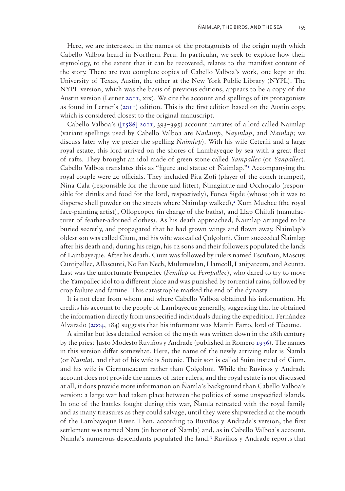Here, we are interested in the names of the protagonists of the origin myth which Cabello Valboa heard in Northern Peru. In particular, we seek to explore how their etymology, to the extent that it can be recovered, relates to the manifest content of the story. There are two complete copies of Cabello Valboa's work*,* one kept at the University of Texas, Austin, the other at the New York Public Library (NYPL). The NYPL version, which was the basis of previous editions, appears to be a copy of the Austin version (Lerner  $2QI, xix$ ). We cite the account and spellings of its protagonists as found in Lerner's [\(2011](#page-11-0)) edition. This is the first edition based on the Austin copy, which is considered closest to the original manuscript.

<span id="page-1-1"></span>Cabello Valboa's ( $\left[1586\right]$  2011, 393–395) account narrates of a lord called Naimlap (variant spellings used by Cabello Valboa are *Nailamp*, *Naymlap*, and *Nainlap*; we discuss later why we prefer the spelling *Ñaimlap*). With his wife Ceterñi and a large royal estate, this lord arrived on the shores of Lambayeque by sea with a great fleet of rafts. They brought an idol made of green stone called *Yampallec* (or *Yanpallec*). Cabello Valboa translates this as "figure and statue of Ñaimlap.["1](#page-9-0) Accompanying the royal couple were 40 officials. They included Pita Zofi (player of the conch trumpet), Ñina Cala (responsible for the throne and litter), Ñinagintue and Occhoçalo (responsible for drinks and food for the lord, respectively), Fonca Sigde (whose job it was to disperse shell powder on the streets where Naimlap walked),<sup>[2](#page-9-1)</sup> Xum Muchec (the royal face-painting artist), Ollopcopoc (in charge of the baths), and Llap Chiluli (manufacturer of feather-adorned clothes). As his death approached, Ñaimlap arranged to be buried secretly, and propagated that he had grown wings and flown away. Ñaimlap's oldest son was called Cium, and his wife was called Çolçoloñi. Cium succeeded Ñaimlap after his death and, during his reign, his 12 sons and their followers populated the lands of Lambayeque. After his death, Cium was followed by rulers named Escuñain, Mascuy, Cuntipallec, Allascunti, No Fan Nech, Mulumuslan, Llamcoll, Lanipatcum, and Acunta. Last was the unfortunate Fempellec (*Femllep* or *Fempallec*), who dared to try to move the Yampallec idol to a different place and was punished by torrential rains, followed by crop failure and famine. This catastrophe marked the end of the dynasty.

It is not clear from whom and where Cabello Valboa obtained his information. He credits his account to the people of Lambayeque generally, suggesting that he obtained the information directly from unspecified individuals during the expedition. Fernández Alvarado [\(2004,](#page-10-1) 184) suggests that his informant was Martín Farro, lord of Túcume.

<span id="page-1-2"></span><span id="page-1-0"></span>A similar but less detailed version of the myth was written down in the 18th century by the priest Justo Modesto Ruviños y Andrade (published in Romero [1936](#page-11-1)). The names in this version differ somewhat. Here, the name of the newly arriving ruler is Ñamla (or *Namla*), and that of his wife is Sotenic. Their son is called Suim instead of Cium, and his wife is Ciernuncacum rather than Çolçoloñi. While the Ruviños y Andrade account does not provide the names of later rulers, and the royal estate is not discussed at all, it does provide more information on Ñamla's background than Cabello Valboa's version: a large war had taken place between the polities of some unspecified islands. In one of the battles fought during this war, Ñamla retreated with the royal family and as many treasures as they could salvage, until they were shipwrecked at the mouth of the Lambayeque River. Then, according to Ruviños y Andrade's version, the first settlement was named Nam (in honor of Ñamla) and, as in Cabello Valboa's account, Ñamla's numerous descendants populated the land[.3](#page-9-2) Ruviños y Andrade reports that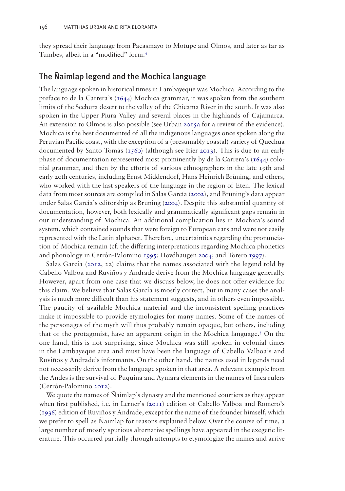they spread their language from Pacasmayo to Motupe and Olmos, and later as far as Tumbes, albeit in a "modified" form[.4](#page-9-3)

## The Ñaimlap legend and the Mochica language

<span id="page-2-10"></span><span id="page-2-8"></span><span id="page-2-5"></span><span id="page-2-1"></span>The language spoken in historical times in Lambayeque was Mochica. According to the preface to de la Carrera's ([1644\)](#page-10-2) Mochica grammar, it was spoken from the southern limits of the Sechura desert to the valley of the Chicama River in the south. It was also spoken in the Upper Piura Valley and several places in the highlands of Cajamarca. An extension to Olmos is also possible (see Urban [2015a](#page-12-0) for a review of the evidence). Mochica is the best documented of all the indigenous languages once spoken along the Peruvian Pacific coast, with the exception of a (presumably coastal) variety of Quechua documented by Santo Tomás [\(1560\)](#page-11-2) (although see Itier [2013](#page-10-3)). This is due to an early phase of documentation represented most prominently by de la Carrera's  $(1644)$  $(1644)$  colonial grammar, and then by the efforts of various ethnographers in the late 19th and early 20th centuries, including Ernst Middendorf, Hans Heinrich Brüning, and others, who worked with the last speakers of the language in the region of Eten. The lexical data from most sources are compiled in Salas García ([2002](#page-11-3)), and Brüning's data appear under Salas García's editorship as Brüning [\(2004\)](#page-10-4). Despite this substantial quantity of documentation, however, both lexically and grammatically significant gaps remain in our understanding of Mochica. An additional complication lies in Mochica's sound system, which contained sounds that were foreign to European ears and were not easily represented with the Latin alphabet. Therefore, uncertainties regarding the pronunciation of Mochica remain (cf. the differing interpretations regarding Mochica phonetics and phonology in Cerrón-Palomino [1995;](#page-10-5) Hovdhaugen [2004;](#page-10-6) and Torero [1997\)](#page-11-4).

<span id="page-2-9"></span><span id="page-2-7"></span><span id="page-2-6"></span><span id="page-2-4"></span><span id="page-2-2"></span><span id="page-2-0"></span>Salas García ([2012](#page-11-5), 22) claims that the names associated with the legend told by Cabello Valboa and Ruviños y Andrade derive from the Mochica language generally. However, apart from one case that we discuss below, he does not offer evidence for this claim. We believe that Salas García is mostly correct, but in many cases the analysis is much more difficult than his statement suggests, and in others even impossible. The paucity of available Mochica material and the inconsistent spelling practices make it impossible to provide etymologies for many names. Some of the names of the personages of the myth will thus probably remain opaque, but others, including that of the protagonist, have an apparent origin in the Mochica language[.5](#page-9-4) On the one hand, this is not surprising, since Mochica was still spoken in colonial times in the Lambayeque area and must have been the language of Cabello Valboa's and Ruviños y Andrade's informants. On the other hand, the names used in legends need not necessarily derive from the language spoken in that area. A relevant example from the Andes is the survival of Puquina and Aymara elements in the names of Inca rulers (Cerrón-Palomino [2012](#page-10-7)).

<span id="page-2-3"></span>We quote the names of Ñaimlap's dynasty and the mentioned courtiers as they appear when first published, i.e. in Lerner's ([2011\)](#page-11-0) edition of Cabello Valboa and Romero's [\(1936](#page-11-1)) edition of Ruviños y Andrade, except for the name of the founder himself, which we prefer to spell as Ñaimlap for reasons explained below. Over the course of time, a large number of mostly spurious alternative spellings have appeared in the exegetic literature. This occurred partially through attempts to etymologize the names and arrive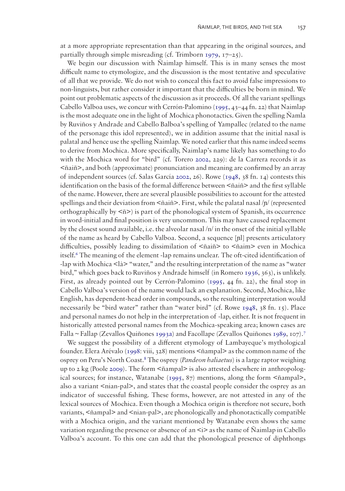<span id="page-3-4"></span>at a more appropriate representation than that appearing in the original sources, and partially through simple misreading (cf. Trimborn [1979](#page-12-1),  $17-25$ ).

<span id="page-3-3"></span><span id="page-3-2"></span>We begin our discussion with Ñaimlap himself. This is in many senses the most difficult name to etymologize, and the discussion is the most tentative and speculative of all that we provide. We do not wish to conceal this fact to avoid false impressions to non-linguists, but rather consider it important that the difficulties be born in mind. We point out problematic aspects of the discussion as it proceeds. Of all the variant spellings Cabello Valboa uses, we concur with Cerrón-Palomino ([1995](#page-10-5), 43–44 fn. 22) that Naimlap is the most adequate one in the light of Mochica phonotactics. Given the spelling Namla by Ruviños y Andrade and Cabello Balboa's spelling of Yampallec (related to the name of the personage this idol represented), we in addition assume that the initial nasal is palatal and hence use the spelling Ñaimlap. We noted earlier that this name indeed seems to derive from Mochica. More specifically, Ñaimlap's name likely has something to do with the Mochica word for "bird" (cf. Torero [2002,](#page-12-2) 229): de la Carrera records it as  $\langle$ ñaiñ $>$ , and both (approximate) pronunciation and meaning are confirmed by an array of independent sources (cf. Salas García [2002,](#page-11-3) 26). Rowe ([1948,](#page-11-6) 38 fn. 14) contests this identification on the basis of the formal difference between <ñaiñ> and the first syllable of the name. However, there are several plausible possibilities to account for the attested spellings and their deviation from  $\langle$ ñaiñ>. First, while the palatal nasal / $\eta$ / (represented orthographically by  $\langle \hat{n} \rangle$  is part of the phonological system of Spanish, its occurrence in word-initial and final position is very uncommon. This may have caused replacement by the closest sound available, i.e. the alveolar nasal /n/ in the onset of the initial syllable of the name as heard by Cabello Valboa. Second, a sequence [ɲl] presents articulatory difficulties, possibly leading to dissimilation of <ñaiñ> to <ñaim> even in Mochica itself.<sup>6</sup> The meaning of the element -lap remains unclear. The oft-cited identification of -lap with Mochica  $\langle \text{Id} \rangle$  "water," and the resulting interpretation of the name as "water bird," which goes back to Ruviños y Andrade himself (in Romero [1936,](#page-11-1) 363), is unlikely. First, as already pointed out by Cerrón-Palomino [\(1995](#page-10-5), 44 fn. 22), the final stop in Cabello Valboa's version of the name would lack an explanation. Second, Mochica, like English, has dependent-head order in compounds, so the resulting interpretation would necessarily be "bird water" rather than "water bird" (cf. Rowe [1948](#page-11-6), 38 fn. 15). Place and personal names do not help in the interpretation of -lap, either. It is not frequent in historically attested personal names from the Mochica-speaking area; known cases are Falla ~ Fallap (Zevallos Quiñones [1993a](#page-12-3)) and Facollape (Zevallos Quiñones [1989](#page-12-4), 107).[7](#page-9-6)

<span id="page-3-7"></span><span id="page-3-6"></span><span id="page-3-5"></span><span id="page-3-1"></span><span id="page-3-0"></span>We suggest the possibility of a different etymology of Lambayeque's mythological founder. Elera Arévalo [\(1998](#page-10-8): viii, 328) mentions <ñampal> as the common name of the osprey on Peru's North Coast[.8](#page-9-7) The osprey (*Pandeon haliaetus*) is a large raptor weighing up to 2 kg (Poole [2009\)](#page-11-7). The form <ñampal> is also attested elsewhere in anthropological sources; for instance, Watanabe [\(1995](#page-12-5), 87) mentions, along the form <ñampal>, also a variant  $\langle$ nian-pal $\rangle$ , and states that the coastal people consider the osprey as an indicator of successful fishing. These forms, however, are not attested in any of the lexical sources of Mochica. Even though a Mochica origin is therefore not secure, both variants,  $\leq$ ñampal> and  $\leq$ nian-pal>, are phonologically and phonotactically compatible with a Mochica origin, and the variant mentioned by Watanabe even shows the same variation regarding the presence or absence of an  $\leq i$  as the name of Naimlap in Cabello Valboa's account. To this one can add that the phonological presence of diphthongs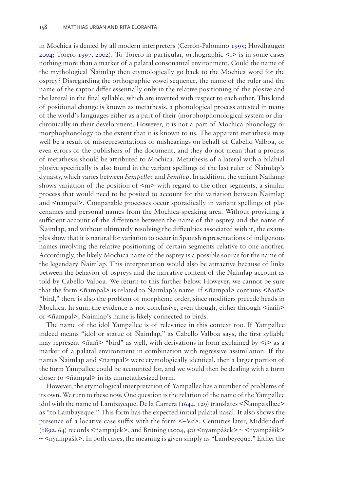in Mochica is denied by all modern interpreters (Cerrón-Palomino [1995;](#page-10-5) Hovdhaugen [2004](#page-10-6); Torero [1997,](#page-11-4) [2002](#page-12-2)). To Torero in particular, orthographic <i> is in some cases nothing more than a marker of a palatal consonantal environment. Could the name of the mythological Ñaimlap then etymologically go back to the Mochica word for the osprey? Disregarding the orthographic vowel sequence, the name of the ruler and the name of the raptor differ essentially only in the relative positioning of the plosive and the lateral in the final syllable, which are inverted with respect to each other. This kind of positional change is known as metathesis, a phonological process attested in many of the world's languages either as a part of their (morpho)phonological system or diachronically in their development. However, it is not a part of Mochica phonology or morphophonology to the extent that it is known to us. The apparent metathesis may well be a result of misrepresentations or mishearings on behalf of Cabello Valboa, or even errors of the publishers of the document, and they do not mean that a process of metathesis should be attributed to Mochica. Metathesis of a lateral with a bilabial plosive specifically is also found in the variant spellings of the last ruler of Ñaimlap's dynasty, which varies between *Fempellec* and *Femllep*. In addition, the variant Nailamp shows variation of the position of  $\leq m$  with regard to the other segments, a similar process that would need to be posited to account for the variation between Ñaimlap and <ñampal>. Comparable processes occur sporadically in variant spellings of placenames and personal names from the Mochica-speaking area. Without providing a sufficient account of the difference between the name of the osprey and the name of Ñaimlap, and without ultimately resolving the difficulties associated with it, the examples show that it is natural for variation to occur in Spanish representations of indigenous names involving the relative positioning of certain segments relative to one another. Accordingly, the likely Mochica name of the osprey is a possible source for the name of the legendary Ñaimlap. This interpretation would also be attractive because of links between the behavior of ospreys and the narrative content of the Ñaimlap account as told by Cabello Valboa. We return to this further below. However, we cannot be sure that the form <ñampal> is related to Ñaimlap's name. If <ñampal> contains <ñaiñ> "bird," there is also the problem of morpheme order, since modifiers precede heads in Mochica. In sum, the evidence is not conclusive, even though, either through  $\leq$  ñaiñ> or <ñampal>, Ñaimlap's name is likely connected to birds.

The name of the idol Yampallec is of relevance in this context too. If Yampallec indeed means "idol or statue of Ñaimlap," as Cabello Valboa says, the first syllable may represent  $\langle$ ñaiñ> "bird" as well, with derivations in form explained by  $\langle$ i> as a marker of a palatal environment in combination with regressive assimilation. If the names Ñaimlap and <ñampal> were etymologically identical, then a larger portion of the form Yampallec could be accounted for, and we would then be dealing with a form closer to <ñampal> in its unmetathesized form.

<span id="page-4-0"></span>However, the etymological interpretation of Yampallec has a number of problems of its own. We turn to these now. One question is the relation of the name of the Yampallec idol with the name of Lambayeque. De la Carrera [\(1644](#page-10-2), 129) translates  $\leq$ Nampaxllæ $\geq$ as "to Lambayeque." This form has the expected initial palatal nasal. It also shows the presence of a locative case suffix with the form <–Vc>. Centuries later, Middendorf  $(1892, 64)$  $(1892, 64)$  records  $\langle$ ñampa $\vert$ ek $\rangle$ , and Brüning [\(2004](#page-10-4), 40)  $\langle$ nyampášek $\rangle \sim \langle$ nyampášik $\rangle$  $\sim$  <nyampášk>. In both cases, the meaning is given simply as "Lambeyeque." Either the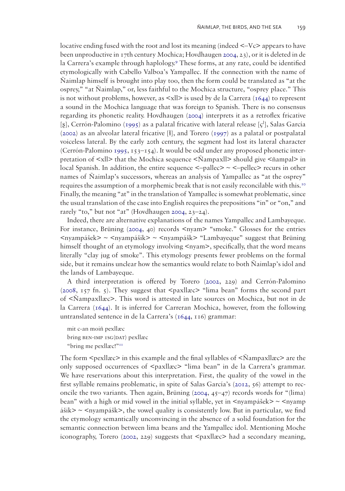locative ending fused with the root and lost its meaning (indeed  $\leq$ -Vc $\geq$  appears to have been unproductive in 17th century Mochica; Hovdhaugen [2004,](#page-10-6) 23), or it is deleted in de la Carrera's example through haplology.<sup>[9](#page-9-8)</sup> These forms, at any rate, could be identified etymologically with Cabello Valboa's Yampallec. If the connection with the name of Ñaimlap himself is brought into play too, then the form could be translated as "at the osprey," "at Ñaimlap," or, less faithful to the Mochica structure, "osprey place." This is not without problems, however, as  $\langle x \rangle$  is used by de la Carrera [\(1644](#page-10-2)) to represent a sound in the Mochica language that was foreign to Spanish. There is no consensus regarding its phonetic reality. Hovdhaugen [\(2004](#page-10-6)) interprets it as a retroflex fricative [ $\S$ ], Cerrón-Palomino ([1995](#page-10-5)) as a palatal fricative with lateral release [ $\varsigma^1$ ], Salas García  $(2002)$  $(2002)$  as an alveolar lateral fricative [ł], and Torero [\(1997](#page-11-4)) as a palatal or postpalatal voiceless lateral. By the early 20th century, the segment had lost its lateral character (Cerrón-Palomino [1995,](#page-10-5) 153–154). It would be odd under any proposed phonetic interpretation of  $\langle x \rangle$  that the Mochica sequence  $\langle \tilde{N}$ ampaxll $\rangle$  should give  $\langle \tilde{n}$ ampal $\rangle$  in local Spanish. In addition, the entire sequence  $\leq$ -pallec $\geq$   $\leq$ -pellec $\geq$  recurs in other names of Ñaimlap's successors, whereas an analysis of Yampallec as "at the osprey" requires the assumption of a morphemic break that is not easily reconcilable with this.[10](#page-9-9) Finally, the meaning "at" in the translation of Yampallec is somewhat problematic, since the usual translation of the case into English requires the prepositions "in" or "on," and rarely "to," but not "at" (Hovdhaugen [2004](#page-10-6), 23–24).

Indeed, there are alternative explanations of the names Yampallec and Lambayeque. For instance, Brüning ([2004](#page-10-4), 40) records  $\langle$ -syam $\rangle$  "smoke." Glosses for the entries <nyampášek> ~ <nyampášik> ~ <nyampášk> "Lambayeque" suggest that Brüning himself thought of an etymology involving  $\langle \text{nyam} \rangle$ , specifically, that the word means literally "clay jug of smoke". This etymology presents fewer problems on the formal side, but it remains unclear how the semantics would relate to both Ñaimlap's idol and the lands of Lambayeque.

<span id="page-5-0"></span>A third interpretation is offered by Torero [\(2002,](#page-12-2) 229) and Cerrón-Palomino [\(2008](#page-10-9), 157 fn. 5). They suggest that  $\langle$  paxllæc $\rangle$  "lima bean" forms the second part of <Ñampaxllæc>. This word is attested in late sources on Mochica, but not in de la Carrera ([1644\)](#page-10-2). It is inferred for Carreran Mochica, however, from the following untranslated sentence in de la Carrera's [\(1644](#page-10-2), 116) grammar:

mit c-an moiñ pexllæc bring BEN-IMP 1SG(DAT) pexllæc "bring me pexllæc!["11](#page-9-10)

The form  $\leq$  pexllæc $\geq$  in this example and the final syllables of  $\leq$ Nampaxllæc $\geq$  are the only supposed occurrences of  $\langle$  paxllæc $\rangle$  "lima bean" in de la Carrera's grammar. We have reservations about this interpretation. First, the quality of the vowel in the first syllable remains problematic, in spite of Salas García's ([2012,](#page-11-5) 56) attempt to reconcile the two variants. Then again, Brüning  $(2004, 45-47)$  $(2004, 45-47)$  records words for "(lima) bean" with a high or mid vowel in the initial syllable, yet in  $\langle$ nyampášek $\rangle \sim \langle$ nyamp ášik>  $\sim$  <nyampášk>, the vowel quality is consistently low. But in particular, we find the etymology semantically unconvincing in the absence of a solid foundation for the semantic connection between lima beans and the Yampallec idol. Mentioning Moche iconography, Torero ([2002,](#page-12-2) 229) suggests that  $\langle$  paxllæc> had a secondary meaning,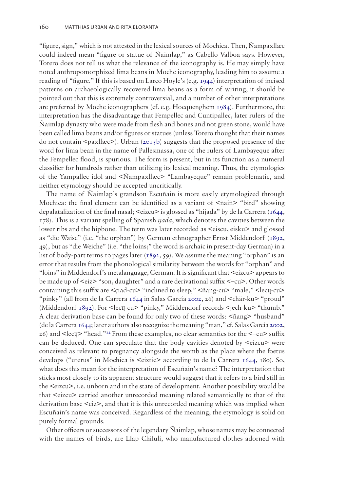<span id="page-6-1"></span><span id="page-6-0"></span>"figure, sign," which is not attested in the lexical sources of Mochica. Then, Ñampaxllæc could indeed mean "figure or statue of Ñaimlap," as Cabello Valboa says. However, Torero does not tell us what the relevance of the iconography is. He may simply have noted anthropomorphized lima beans in Moche iconography, leading him to assume a reading of "figure." If this is based on Larco Hoyle's (e.g. [1944\)](#page-11-9) interpretation of incised patterns on archaeologically recovered lima beans as a form of writing, it should be pointed out that this is extremely controversial, and a number of other interpretations are preferred by Moche iconographers (cf. e.g. Hocquenghem [1984\)](#page-10-10). Furthermore, the interpretation has the disadvantage that Fempellec and Cuntipallec, later rulers of the Ñaimlap dynasty who were made from flesh and bones and not green stone, would have been called lima beans and/or figures or statues (unless Torero thought that their names do not contain  $\langle$ paxllæc $\rangle$ ). Urban [\(2015b\)](#page-12-6) suggests that the proposed presence of the word for lima bean in the name of Pallesmassa, one of the rulers of Lambayeque after the Fempellec flood, is spurious. The form is present, but in its function as a numeral classifier for hundreds rather than utilizing its lexical meaning. Thus, the etymologies of the Yampallec idol and <Ñampaxllæc> "Lambayeque" remain problematic, and neither etymology should be accepted uncritically.

<span id="page-6-2"></span>The name of Ñaimlap's grandson Escuñain is more easily etymologized through Mochica: the final element can be identified as a variant of  $\langle$ ñaiñ> "bird" showing depalatalization of the final nasal;  $\leq$ eizcu $\geq$  is glossed as "hijada" by de la Carrera ([1644,](#page-10-2) 178). This is a variant spelling of Spanish *ijada*, which denotes the cavities between the lower ribs and the hipbone. The term was later recorded as <eiscu, eisku> and glossed as "die Waise" (i.e. "the orphan") by German ethnographer Ernst Middendorf [\(1892,](#page-11-8) 49), but as "die Weiche" (i.e. "the loins;" the word is archaic in present-day German) in a list of body-part terms 10 pages later ([1892,](#page-11-8) 59). We assume the meaning "orphan" is an error that results from the phonological similarity between the words for "orphan" and "loins" in Middendorf's metalanguage, German. It is significant that <eizcu> appears to be made up of <eiz> "son, daughter" and a rare derivational suffix <–cu>. Other words containing this suffix are <çiad-cu> "inclined to sleep," <ñang-cu> "male," <lecɥ-cu> "pinky" (all from de la Carrera [1644](#page-10-2) in Salas García [2002](#page-11-3), 26) and <chär-ku> "proud" (Middendorf [1892\)](#page-11-8). For <lecɥ-cu> "pinky," Middendorf records <jech-ku> "thumb." A clear derivation base can be found for only two of these words: <ñang> "husband" (de la Carrera [1644](#page-10-2); later authors also recognize the meaning "man," cf. Salas García [2002,](#page-11-3)  $26$ ) and  $\leq$  lecq> "head."<sup>[12](#page-9-11)</sup> From these examples, no clear semantics for the  $\leq$ -cu> suffix can be deduced. One can speculate that the body cavities denoted by <eizcu> were conceived as relevant to pregnancy alongside the womb as the place where the foetus develops ("uterus" in Mochica is <eiztic> according to de la Carrera [1644](#page-10-2), 180). So, what does this mean for the interpretation of Escuñain's name? The interpretation that sticks most closely to its apparent structure would suggest that it refers to a bird still in the <eizcu>, i.e. unborn and in the state of development. Another possibility would be that <eizcu> carried another unrecorded meaning related semantically to that of the derivation base <eiz>, and that it is this unrecorded meaning which was implied when Escuñain's name was conceived. Regardless of the meaning, the etymology is solid on purely formal grounds.

Other officers or successors of the legendary Ñaimlap, whose names may be connected with the names of birds, are Llap Chiluli, who manufactured clothes adorned with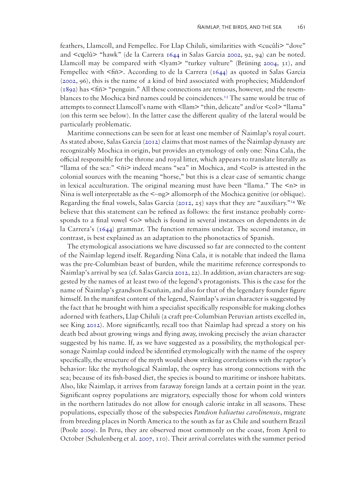feathers, Llamcoll, and Fempellec. For Llap Chiluli, similarities with <cucûli> "dove" and <cɥelû> "hawk" (de la Carrera [1644](#page-10-2) in Salas García [2002](#page-11-3), 92, 94) can be noted. Llamcoll may be compared with  $\langle \rangle$ yam $\rangle$  "turkey vulture" (Brüning [2004](#page-10-4), 31), and Fempellec with <fiñ>. According to de la Carrera [\(1644\)](#page-10-2) as quoted in Salas García [\(2002](#page-11-3), 96), this is the name of a kind of bird associated with prophecies; Middendorf  $(1892)$  $(1892)$  has  $\leq$ fiñ $\geq$  "penguin." All these connections are tenuous, however, and the resemblances to the Mochica bird names could be coincidences.<sup>13</sup> The same would be true of attempts to connect Llamcoll's name with <llam> "thin, delicate" and/or <col> "llama" (on this term see below). In the latter case the different quality of the lateral would be particularly problematic.

Maritime connections can be seen for at least one member of Ñaimlap's royal court. As stated above, Salas García [\(2012](#page-11-5)) claims that most names of the Ñaimlap dynasty are recognizably Mochica in origin, but provides an etymology of only one: Ñina Cala, the official responsible for the throne and royal litter, which appears to translate literally as "llama of the sea:"  $\leq \|i\|$  indeed means "sea" in Mochica, and  $\leq$ col> is attested in the colonial sources with the meaning "horse," but this is a clear case of semantic change in lexical acculturation. The original meaning must have been "llama." The  $\langle n \rangle$  in  $\tilde{N}$ ina is well interpretable as the  $\leq$ -ng> allomorph of the Mochica genitive (or oblique). Regarding the final vowels, Salas García ([2012,](#page-11-5) 25) says that they are "auxiliary."<sup>14</sup> We believe that this statement can be refined as follows: the first instance probably corresponds to a final vowel <o> which is found in several instances on dependents in de la Carrera's [\(1644\)](#page-10-2) grammar. The function remains unclear. The second instance, in contrast, is best explained as an adaptation to the phonotactics of Spanish.

<span id="page-7-1"></span><span id="page-7-0"></span>The etymological associations we have discussed so far are connected to the content of the Ñaimlap legend itself. Regarding Ñina Cala, it is notable that indeed the llama was the pre-Columbian beast of burden, while the maritime reference corresponds to Ñaimlap's arrival by sea (cf. Salas García [2012](#page-11-5), 22). In addition, avian characters are suggested by the names of at least two of the legend's protagonists. This is the case for the name of Ñaimlap's grandson Escuñain, and also for that of the legendary founder figure himself. In the manifest content of the legend, Naimlap's avian character is suggested by the fact that he brought with him a specialist specifically responsible for making clothes adorned with feathers, Llap Chiluli (a craft pre-Columbian Peruvian artists excelled in, see King [2012](#page-11-10)). More significantly, recall too that Ñaimlap had spread a story on his death bed about growing wings and flying away, invoking precisely the avian character suggested by his name. If, as we have suggested as a possibility, the mythological personage Ñaimlap could indeed be identified etymologically with the name of the osprey specifically, the structure of the myth would show striking correlations with the raptor's behavior: like the mythological Ñaimlap, the osprey has strong connections with the sea; because of its fish-based diet, the species is bound to maritime or inshore habitats. Also, like Ñaimlap, it arrives from faraway foreign lands at a certain point in the year. Significant osprey populations are migratory, especially those for whom cold winters in the northern latitudes do not allow for enough calorie intake in all seasons. These populations, especially those of the subspecies *Pandion haliaetus carolinensis*, migrate from breeding places in North America to the south as far as Chile and southern Brazil (Poole [2009\)](#page-11-7). In Peru, they are observed most commonly on the coast, from April to October (Schulenberg et al. [2007,](#page-11-11) 110). Their arrival correlates with the summer period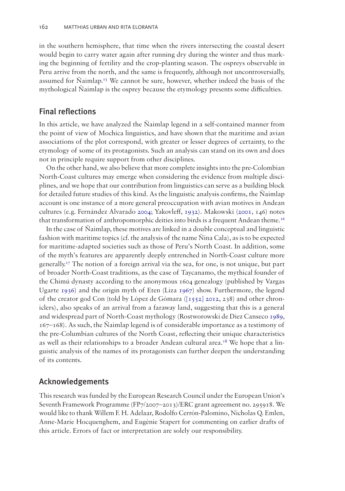in the southern hemisphere, that time when the rivers intersecting the coastal desert would begin to carry water again after running dry during the winter and thus marking the beginning of fertility and the crop-planting season. The ospreys observable in Peru arrive from the north, and the same is frequently, although not uncontroversially, assumed for Ñaimlap[.15](#page-9-14) We cannot be sure, however, whether indeed the basis of the mythological Ñaimlap is the osprey because the etymology presents some difficulties.

#### Final reflections

In this article, we have analyzed the Ñaimlap legend in a self-contained manner from the point of view of Mochica linguistics, and have shown that the maritime and avian associations of the plot correspond, with greater or lesser degrees of certainty, to the etymology of some of its protagonists. Such an analysis can stand on its own and does not in principle require support from other disciplines.

On the other hand, we also believe that more complete insights into the pre-Colombian North-Coast cultures may emerge when considering the evidence from multiple disciplines, and we hope that our contribution from linguistics can serve as a building block for detailed future studies of this kind. As the linguistic analysis confirms, the Ñaimlap account is one instance of a more general preoccupation with avian motives in Andean cultures (e.g. Fernández Alvarado [2004;](#page-10-1) Yakovleff, [1932](#page-12-7)). Makowski ([2001,](#page-11-12) 146) notes that transformation of anthropomorphic deities into birds is a frequent Andean theme.<sup>16</sup>

<span id="page-8-5"></span><span id="page-8-4"></span><span id="page-8-2"></span><span id="page-8-1"></span><span id="page-8-0"></span>In the case of Ñaimlap, these motives are linked in a double conceptual and linguistic fashion with maritime topics (cf. the analysis of the name Ñina Cala), as is to be expected for maritime-adapted societies such as those of Peru's North Coast. In addition, some of the myth's features are apparently deeply entrenched in North-Coast culture more generally.[17](#page-9-16) The notion of a foreign arrival via the sea, for one, is not unique, but part of broader North-Coast traditions, as the case of Taycanamo, the mythical founder of the Chimú dynasty according to the anonymous 1604 genealogy (published by Vargas Ugarte [1936](#page-12-8)) and the origin myth of Eten (Liza [1967](#page-11-13)) show. Furthermore, the legend of the creator god Con (told by López de Gómara ([\[1552\] 2012](#page-11-14), 238) and other chroniclers), also speaks of an arrival from a faraway land, suggesting that this is a general and widespread part of North-Coast mythology (Rostworowski de Diez Canseco [1989,](#page-11-15) 167–168). As such, the Ñaimlap legend is of considerable importance as a testimony of the pre-Columbian cultures of the North Coast, reflecting their unique characteristics as well as their relationships to a broader Andean cultural area.<sup>18</sup> We hope that a linguistic analysis of the names of its protagonists can further deepen the understanding of its contents.

## <span id="page-8-3"></span>Acknowledgements

This research was funded by the European Research Council under the European Union's Seventh Framework Programme (FP7/2007–2013)/ERC grant agreement no. 295918. We would like to thank Willem F. H. Adelaar, Rodolfo Cerrón-Palomino, Nicholas Q. Emlen, Anne-Marie Hocquenghem, and Eugénie Stapert for commenting on earlier drafts of this article. Errors of fact or interpretation are solely our responsibility.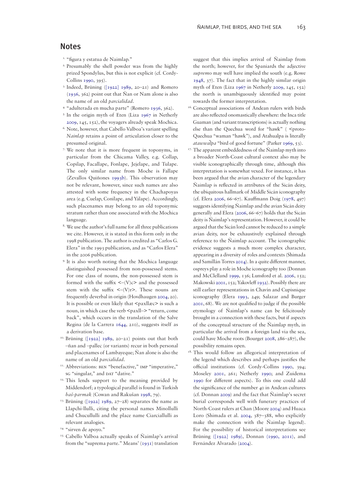#### Notes

- <span id="page-9-0"></span><sup>1.</sup> "figura y estatua de Naimlap."
- <span id="page-9-1"></span>2. Presumably the shell powder was from the highly prized Spondylus, but this is not explicit (cf. Cordy-Collins [1990](#page-10-11), 395).
- <span id="page-9-20"></span><span id="page-9-2"></span>3. Indeed, Brüning ([\[1922\] 1989](#page-10-12), 20–21) and Romero ([1936,](#page-11-1) 362) point out that Ñan or Nam alone is also the name of an old *parcialidad*.
- <span id="page-9-3"></span>4. "adulterada en mucha parte" (Romero [1936,](#page-11-1) 362).
- <span id="page-9-32"></span><span id="page-9-4"></span>5. In the origin myth of Eten (Liza [1967](#page-11-13) in Netherly [2009,](#page-11-16) 145, 152), the voyagers already speak Mochica.
- <span id="page-9-5"></span>6. Note, however, that Cabello Valboa's variant spelling *Nainlap* retains a point of articulation closer to the presumed original.
- <span id="page-9-6"></span>7. We note that it is more frequent in toponyms, in particular from the Chicama Valley, e.g. Collap, Copilap, Facallape, Fonlape, Jejelape, and Tulape. The only similar name from Moche is Fallape (Zevallos Quiñones [1993b](#page-12-9)). This observation may not be relevant, however, since such names are also attested with some frequency in the Chachapoyas area (e.g. Cuelap, Conílape, and Yálape). Accordingly, such placenames may belong to an old toponymic stratum rather than one associated with the Mochica language.
- <span id="page-9-7"></span>8. We use the author's full name for all three publications we cite. However, it is stated in this form only in the 1998 publication. The author is credited as "Carlos G. Elera" in the 1993 publication, and as "Carlos Elera" in the 2006 publication.
- <span id="page-9-8"></span>9. It is also worth noting that the Mochica language distinguished possessed from non-possessed stems. For one class of nouns, the non-possessed stem is formed with the suffix  $\langle -V \rangle c$  and the possessed stem with the suffix  $\langle -(V)r \rangle$ . These nouns are frequently deverbal in origin (Hovdhaugen [2004,](#page-10-6) 20). It is possible or even likely that <paxllæc> is such a noun, in which case the verb <paxll-> "return, come back", which occurs in the translation of the Salve Regina (de la Carrera [1644,](#page-10-2) 210), suggests itself as a derivation base.
- <span id="page-9-9"></span><sup>10.</sup> Brüning ([\[1922\] 1989,](#page-10-12) 20–21) points out that both –ñan and –pallec (or variants) recur in both personal and placenames of Lambayeque; Ñan alone is also the name of an old *parcialidad*.
- <span id="page-9-10"></span><sup>11.</sup> Abbreviations: BEN "benefactive," IMP "imperative," sG "singular," and DAT "dative."
- <span id="page-9-11"></span><sup>12.</sup> This lends support to the meaning provided by Middendorf; a typological parallel is found in Turkish *baš*-*parmak* (Cowan and Rakušan [1998,](#page-10-13) 79).
- <span id="page-9-12"></span><sup>13.</sup> Brüning [\(\[1922\] 1989](#page-10-12), 27–28) separates the name as Llapchi-llulli, citing the personal names Minollulli and Chucullulli and the place name Ciarciallulli as relevant analogies.
- <span id="page-9-13"></span><sup>14. "sirven de apoyo."</sup>
- <span id="page-9-14"></span>15. Cabello Valboa actually speaks of Ñaimlap's arrival from the "suprema parte." Means' ([1931](#page-11-17)) translation

suggest that this implies arrival of Ñaimlap from the north; however, for the Spaniards the adjective *supremo* may well have implied the south (e.g. Rowe [1948,](#page-11-6) 37). The fact that in the highly similar origin myth of Eten (Liza [1967](#page-11-13) in Netherly [2009](#page-11-16), 145, 152) the north is unambiguously identified may point towards the former interpretation.

- <span id="page-9-19"></span><span id="page-9-15"></span>16. Conceptual associations of Andean rulers with birds are also reflected onomastically elsewhere: the Inca title Guaman (and variant transcriptions) is actually nothing else than the Quechua word for "hawk" ( <proto-Quechua \*waman "hawk"), and Atahualpa is literally *atawwalpa*̃ "bird of good fortune" (Parker [1969](#page-11-18), 53).
- <span id="page-9-37"></span><span id="page-9-33"></span><span id="page-9-26"></span><span id="page-9-25"></span><span id="page-9-16"></span> $17.$  The apparent embeddedness of the  $\tilde{N}$ aimlap myth into a broader North-Coast cultural context also may be visible iconographically through time, although this interpretation is somewhat vexed. For instance, it has been argued that the avian character of the legendary Ñaimlap is reflected in attributes of the Sicán deity, the ubiquitous hallmark of Middle Sicán iconography (cf. Elera [2006](#page-10-14), 66–67). Kauffmann Doig ([1978,](#page-10-15) 497) suggests identifying Ñaimlap and the avian Sicán deity generally and Elera [\(2006](#page-10-14), 66–67) holds that the Sicán deity is Ñaimlap's representation. However, it could be argued that the Sicán lord cannot be reduced to a simple avian deity, nor be exhaustively explained through reference to the Ñaimlap account. The iconographic evidence suggests a much more complex character, appearing in a diversity of roles and contexts (Shimada and Samillán Torres [2014](#page-11-19)). In a quite different manner, ospreys play a role in Moche iconography too (Donnan and McClelland [1999,](#page-10-16) 136; Lunsford et al. [2006,](#page-11-20) 152; Makowski [2001](#page-11-12), 152; Yakovleff [1932](#page-12-7)). Possibly there are still earlier representations in Chavín and Cupisnique iconography (Elera [1993,](#page-10-17) 249; Salazar and Burger [2001](#page-11-21), 68). We are not qualified to judge if the possible etymology of Ñaimlap's name can be felicitously brought in a connection with these facts, but if aspects of the conceptual structure of the Ñaimlap myth, in particular the arrival from a foreign land via the sea, could have Moche roots (Bourget [2008,](#page-10-18) 286–287), the possibility remains open.
- <span id="page-9-38"></span><span id="page-9-36"></span><span id="page-9-35"></span><span id="page-9-34"></span><span id="page-9-31"></span><span id="page-9-30"></span><span id="page-9-29"></span><span id="page-9-28"></span><span id="page-9-27"></span><span id="page-9-24"></span><span id="page-9-23"></span><span id="page-9-22"></span><span id="page-9-21"></span><span id="page-9-18"></span><span id="page-9-17"></span><sup>18.</sup> This would follow an allegorical interpretation of the legend which describes and perhaps justifies the official institutions (cf. Cordy-Collins [1990,](#page-10-11) 394; Moseley [2001](#page-11-22), 261; Netherly [1990](#page-11-23); and Zuidema [1990](#page-12-10) for different aspects). To this one could add the significance of the number 40 in Andean cultures (cf. Donnan [2009](#page-10-19)) and the fact that Ñaimlap's secret burial corresponds well with funerary practices of North-Coast rulers at Chan (Moore [2004](#page-11-24)) and Huaca Loro (Shimada et al. [2004,](#page-11-25) 387–388, who explicitly make the connection with the Ñaimlap legend). For the possibility of historical interpretations see Brüning [\(\[1922\] 1989\),](#page-10-12) Donnan [\(1990, 2011\)](#page-10-19), and Fernández Alvarado [\(2004\)](#page-10-1).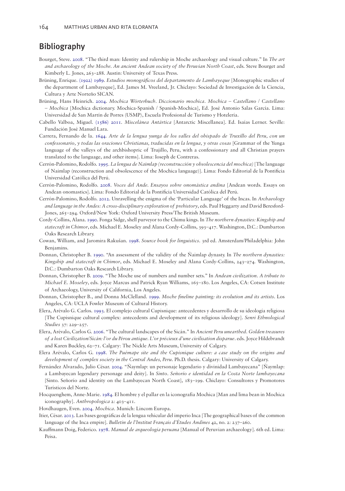## Bibliography

- <span id="page-10-18"></span>Bourget, Steve. [2008](#page-9-18). "The third man: Identity and rulership in Moche archaeology and visual culture." In *The art and archaeology of the Moche. An ancient Andean society of the Peruvian North Coast*, eds. Steve Bourget and Kimberly L. Jones, 263–288. Austin: University of Texas Press.
- <span id="page-10-12"></span>Brüning, Enrique. [\(1922\) 1989](#page-9-19). *Estudios monográficos del departamento de Lambayeque* [Monographic studies of the department of Lambayeque], Ed. James M. Vreeland, Jr. Chiclayo: Sociedad de Investigación de la Ciencia, Cultura y Arte Norteño SICAN.
- <span id="page-10-4"></span>Brüning, Hans Heinrich. [2004](#page-2-0). *Mochica Wörterbuch. Diccionario mochica. Mochica – Castellano / Castellano – Mochica* [Mochica dictionary. Mochica-Spanish / Spanish-Mochica], Ed. José Antonio Salas García. Lima: Universidad de San Martín de Porres (USMP), Escuela Profesional de Turismo y Hotelería.
- <span id="page-10-0"></span>Cabello Valboa, Miguel. [\(1586\) 2011](#page-0-0). *Miscelánea Antártica* [Antarctic Miscellanea]. Ed. Isaías Lerner. Seville: Fundación José Manuel Lara.
- <span id="page-10-2"></span>Carrera, Fernando de la. [1644.](#page-2-1) *Arte de la lengua yunga de los valles del obispado de Truxillo del Peru, con un confessonario, y todas las oraciones Christianas, traducidas en la lengua, y otras cosas* [Grammar of the Yunga language of the valleys of the archbishopric of Trujillo, Peru, with a confessionary and all Christian prayers translated to the language, and other items]. Lima: Ioseph de Contreras.
- <span id="page-10-5"></span>Cerrón-Palomino, Rodolfo. [1995.](#page-2-2) *La lengua de Naimlap (reconstrucción y obsolescencia del mochica)* [The language of Naimlap (reconstruction and obsolescence of the Mochica language)]. Lima: Fondo Editorial de la Pontificia Universidad Católica del Perú.
- <span id="page-10-9"></span>Cerrón-Palomino, Rodolfo. [2008.](#page-5-0) *Voces del Ande. Ensayos sobre onomástica andina* [Andean words. Essays on Andean onomastics]. Lima: Fondo Editorial de la Pontificia Universidad Católica del Perú.
- <span id="page-10-7"></span>Cerrón-Palomino, Rodolfo. [2012.](#page-2-3) Unravelling the enigma of the 'Particular Language' of the Incas. In *Archaeology and language in the Andes: A cross-disciplinary exploration of prehistory*, eds. Paul Heggarty and David Beresford-Jones, 265–294. Oxford/New York: Oxford University Press/The British Museum.
- <span id="page-10-11"></span>Cordy-Collins, Alana. [1990.](#page-9-20) Fonga Sidge, shell purveyor to the Chimu kings. In *The northern dynasties: Kingship and statecraft in Chimor*, eds. Michael E. Moseley and Alana Cordy-Collins, 393–417. Washington, D.C.: Dumbarton Oaks Research Library.
- <span id="page-10-13"></span>Cowan, William, and Jaromira Rakušan. [1998](#page-9-21). *Source book for linguistics*. 3rd ed. Amsterdam/Philadelphia: John Benjamins.
- Donnan, Christopher B. 1990. "An assessment of the validity of the Ñaimlap dynasty. In *The northern dynasties: Kingship and statecraft in Chimor*, eds. Michael E. Moseley and Alana Cordy-Collins, 243–274. Washington, D.C.: Dumbarton Oaks Research Library.
- <span id="page-10-19"></span>Donnan, Christopher B. [2009.](#page-9-22) "The Moche use of numbers and number sets." In *Andean civilization. A tribute to Michael E. Moseley*, eds. Joyce Marcus and Patrick Ryan Williams, 165–180. Los Angeles, CA: Cotsen Institute of Archaeology, University of California, Los Angeles.
- <span id="page-10-16"></span>Donnan, Christopher B., and Donna McClelland. [1999](#page-9-23). *Moche fineline painting: its evolution and its artists*. Los Angeles, CA: UCLA Fowler Museum of Cultural History.
- <span id="page-10-17"></span>Elera, Arévalo G. Carlos. [1993](#page-9-24). El complejo cultural Cupisnique: antecedentes y desarrollo de su ideología religiosa [The Cupisnique cultural complex: antecedents and development of its religious ideology]. *Senri Ethnological Studies* 37: 229–257.
- <span id="page-10-14"></span>Elera, Arévalo, Carlos G. [2006.](#page-9-25) "The cultural landscapes of the Sicán." In *Ancient Peru unearthed. Golden treasures of a lost Civilization/Sicán: l'or du Pérou antique. L'or précieux d'une civilisation disparue*. eds. Joyce Hildebrandt and Karen Buckley, 62–71. Calgary: The Nickle Arts Museum, University of Calgary.
- <span id="page-10-8"></span>Elera Arévalo, Carlos G. [1998](#page-3-0). *The Puémape site and the Cupisnique culture: a case study on the origins and development of complex society in the Central Andes, Peru*. Ph.D. thesis. Calgary: University of Calgary.
- <span id="page-10-1"></span>Fernández Alvarado, Julio César. [2004](#page-1-0). "Ñaymlap: un personaje legendario y divinidad Lambayecana" [Ñaymlap: a Lambayecan legendary personage and deity]. In *Sinto. Señorío e identidad en la Costa Norte lambayecana* [Sinto. Señorío and identity on the Lambayecan North Coast], 183–199. Chiclayo: Consultores y Promotores Turísticos del Norte.
- <span id="page-10-10"></span>Hocquenghem, Anne-Marie. [1984](#page-6-0). El hombre y el pallar en la iconografía Mochica [Man and lima bean in Mochica iconography]. *Anthropologica* 2: 403–411.

<span id="page-10-6"></span>Hovdhaugen, Even. [2004](#page-2-4). *Mochica*. Munich: Lincom Europa.

- <span id="page-10-3"></span>Itier, César. [2013.](#page-2-5) Las bases geográficas de la lengua vehicular del imperio Inca [The geographical bases of the common language of the Inca empire]. *Bulletin de l'Institut Français d'Études Andines* 42, no. 2: 237–260.
- <span id="page-10-15"></span>Kauffmann Doig, Federico. [1978.](#page-9-26) *Manual de arqueología peruana* [Manual of Peruvian archaeology]. 6th ed. Lima: Peisa.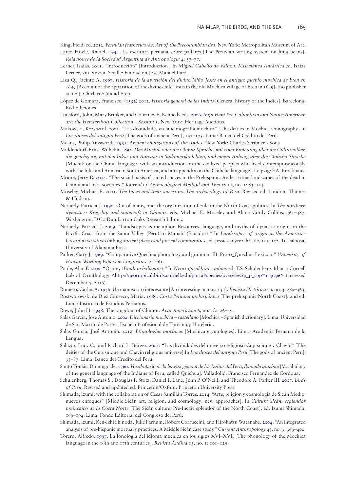<span id="page-11-10"></span><span id="page-11-9"></span>King, Heidi ed. [2012.](#page-7-0) *Peruvian featherworks: Art of the Precolumbian Era*. New York: Metropolitan Museum of Art. Larco Hoyle, Rafael. [1944.](#page-6-1) La escritura peruana sobre pallares [The Peruvian writing system on lima beans].

- *Relaciones de la Sociedad Argentina de Antropología* 4: 57–77.
- <span id="page-11-0"></span>Lerner, Isaías. [2011.](#page-1-1) "Introducción" [Introduction]. In *Miguel Cabello de Valboa: Miscelánea Antártica* ed. Isaías Lerner, viii–xxxvii. Seville: Fundación José Manuel Lara.
- <span id="page-11-13"></span>Liza Q., Jacinto A. [1967](#page-8-0). *Historia de la aparición del divino Niño Jesús en el antiguo pueblo mochica de Eten en 1649* [Account of the apparition of the divine child Jesus in the old Mochica village of Eten in 1649]. [no publisher stated]: Chiclayo/Ciudad Eten.
- <span id="page-11-14"></span>López de Gómara, Francisco. [\(1552\) 2012.](#page-8-1) *Historia general de las Indias* [General history of the Indies]. Barcelona: Red Ediciones.
- <span id="page-11-20"></span>Lunsford, John, Mary Brinker, and Courtney E. Kennedy eds. [2006](#page-9-27). *Important Pre-Columbian and Native American art: the Hendershott Collection – Session 1*. New York: Heritage Auctions.
- <span id="page-11-12"></span>Makowski, Krzysztof. [2001](#page-8-2). "Las divinidades en la iconografía mochica" [The deities in Mochica iconography].In *Los dioses del antiguo Perú* [The gods of ancient Peru], 137–175. Lima: Banco del Crédito del Perú.
- <span id="page-11-17"></span>Means, Philip Ainsworth. [1931](#page-9-28). *Ancient civilizations of the Andes*. New York: Charles Scribner's Sons.
- <span id="page-11-8"></span>Middendorf, Ernst Wilhelm. [1892.](#page-4-0) *Das Muchik oder die Chimu-Sprache, mit einer Einleitung über die Culturvölker, die gleichzeitig mit den Inkas und Aimaras in Südamerika lebten, und einem Anhang über die Chibcha-Sprache* [Muchik or the Chimu language, with an introduction on the civilized peoples who lived contemporaneously with the Inka and Aimara in South America, and an appendix on the Chibcha language]. Leipzig: F.A. Brockhaus.
- <span id="page-11-24"></span>Moore, Jerry D. [2004](#page-9-29). "The social basis of sacred spaces in the Prehispanic Andes: ritual landscapes of the dead in Chimú and Inka societies." *Journal of Archaeological Method and Theory* 11, no. 1: 83–124.
- <span id="page-11-22"></span>Moseley, Michael E. [2001](#page-9-30). *The Incas and their ancestors. The archaeology of Peru*. Revised ed. London: Thames & Hudson.
- <span id="page-11-23"></span>Netherly, Patricia J. [1990](#page-9-31). Out of many, one: the organization of rule in the North Coast polities. In *The northern dynasties: Kingship and statecraft in Chimor*, eds. Michael E. Moseley and Alana Cordy-Collins, 461–487. Washington, D.C.: Dumbarton Oaks Research Library.
- <span id="page-11-16"></span>Netherly, Patricia J. [2009.](#page-9-32) "Landscapes as metaphor. Resources, language, and myths of dynastic origin on the Pacific Coast from the Santa Valley (Peru) to Manabí (Ecuador)." In *Landscapes of origin in the Americas. Creation narratives linking ancient places and present communities*, ed. Jessica Joyce Christie, 123–152. Tuscaloosa: University of Alabama Press.
- <span id="page-11-18"></span>Parker, Gary J. [1969](#page-9-33). "Comparative Quechua phonology and grammar III: Proto\_Quechua Lexicon." *University of Hawaii Working Papers in Linguistics* 4: 1–61.
- <span id="page-11-7"></span>Poole, Alan F. [2009.](#page-3-1) "Osprey (*Pandion haliaetus*)." In *Neotropical birds online.* ed. T.S. Schulenberg. Ithaca: Cornell Lab of Ornithology [<http://neotropical.birds.cornell.edu/portal/species/overview?p\\_p\\_spp=119196](http://neotropical.birds.cornell.edu/portal/species/overview?p_p_spp=119196)> (accessed December 5, 2016).
- <span id="page-11-1"></span>Romero, Carlos A. [1936.](#page-1-2) Un manuscrito interesante [An interesting manuscript]. *Revista Histórica* 10, no. 3: 289–363.
- <span id="page-11-15"></span>Rostworowski de Diez Canseco, María. [1989.](#page-8-3) *Costa Peruana prehispánica* [The prehispanic North Coast]. 2nd ed. Lima: Instituto de Estudios Peruanos.
- <span id="page-11-6"></span>Rowe, John H. [1948](#page-3-2). The kingdom of Chimor. *Acta Americana* 6, no. 1/2: 26–59.
- <span id="page-11-3"></span>Salas García, José Antonio. [2002](#page-2-6). *Diccionario mochica – castellano* [Mochica – Spanish dictionary]. Lima: Universidad de San Martín de Porres, Escuela Profesional de Turismo y Hotelería.
- <span id="page-11-5"></span>Salas García, José Antonio. [2012](#page-2-7). *Etimologías mochicas* [Mochica etymologies]. Lima: Academia Peruana de la Lengua.
- <span id="page-11-21"></span>Salazar, Lucy C., and Richard L. Burger. [2001](#page-9-34). "Las divinidades del universo religioso Cupisnique y Chavín" [The deities of the Cupisnique and Chavín religious universe].In *Los dioses del antiguo Perú* [The gods of ancient Peru], 35–87. Lima: Banco del Crédito del Perú.
- <span id="page-11-2"></span>Santo Tomás, Domingo de. [1560.](#page-2-8) *Vocabulario de la lengua general de los Indios del Peru, llamada quichua* [Vocabulary of the general language of the Indians of Peru, called Quichua]. Valladolid: Francisco Fernandez de Cordoua.
- <span id="page-11-11"></span>Schulenberg, Thomas S., Douglas F. Stotz, Daniel F. Lane, John P. O'Neill, and Theodore A. Parker III. [2007.](#page-7-1) *Birds of Peru*. Revised and updated ed. Princeton/Oxford: Princeton University Press.
- <span id="page-11-19"></span>Shimada, Izumi, with the collaboration of César Samillán Torres. [2014](#page-9-35). "Arte, religion y cosmología de Sicán Medio: nuevos enfoques" [Middle Sicán art, religion, and cosmology: new approaches]. In *Cultura Sicán: esplendor preincaico de la Costa Norte* [The Sicán culture: Pre-Incaic splendor of the North Coast], ed. Izumi Shimada, 169–194. Lima: Fondo Editorial del Congreso del Perú.
- <span id="page-11-25"></span>Shimada, Izumi, Ken-Ichi Shinoda, Julie Farnum, Robert Corruccini, and Hirokatsu Watanabe. [2004.](#page-9-36) "An integrated analysis of pre-hispanic mortuary practices: A Middle Sicán case study." *Current Anthropology* 45, no. 3: 369–402.
- <span id="page-11-4"></span>Torero, Alfredo. [1997.](#page-2-9) La fonología del idioma mochica en los siglos XVI–XVII [The phonology of the Mochica language in the 16th and 17th centuries]. *Revista Andina* 15, no. 1: 101–129.